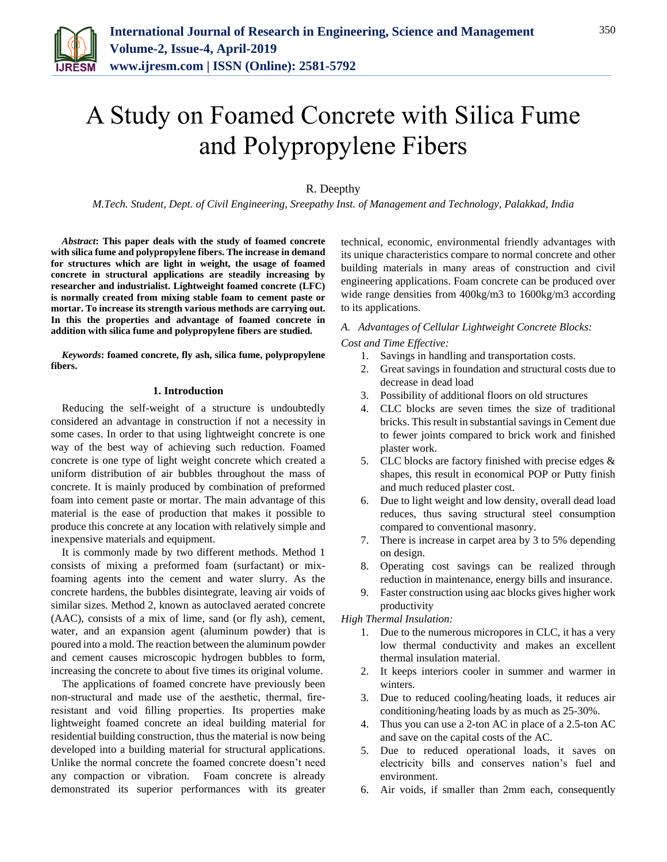

# A Study on Foamed Concrete with Silica Fume and Polypropylene Fibers

## R. Deepthy

*M.Tech. Student, Dept. of Civil Engineering, Sreepathy Inst. of Management and Technology, Palakkad, India*

*Abstract***: This paper deals with the study of foamed concrete with silica fume and polypropylene fibers. The increase in demand for structures which are light in weight, the usage of foamed concrete in structural applications are steadily increasing by researcher and industrialist. Lightweight foamed concrete (LFC) is normally created from mixing stable foam to cement paste or mortar. To increase its strength various methods are carrying out. In this the properties and advantage of foamed concrete in addition with silica fume and polypropylene fibers are studied.** 

*Keywords***: foamed concrete, fly ash, silica fume, polypropylene fibers.**

### **1. Introduction**

Reducing the self-weight of a structure is undoubtedly considered an advantage in construction if not a necessity in some cases. In order to that using lightweight concrete is one way of the best way of achieving such reduction. Foamed concrete is one type of light weight concrete which created a uniform distribution of air bubbles throughout the mass of concrete. It is mainly produced by combination of preformed foam into cement paste or mortar. The main advantage of this material is the ease of production that makes it possible to produce this concrete at any location with relatively simple and inexpensive materials and equipment.

It is commonly made by two different methods. Method 1 consists of mixing a preformed foam (surfactant) or mixfoaming agents into the cement and water slurry. As the concrete hardens, the bubbles disintegrate, leaving air voids of similar sizes. Method 2, known as autoclaved aerated concrete (AAC), consists of a mix of lime, sand (or fly ash), cement, water, and an expansion agent (aluminum powder) that is poured into a mold. The reaction between the aluminum powder and cement causes microscopic hydrogen bubbles to form, increasing the concrete to about five times its original volume.

The applications of foamed concrete have previously been non-structural and made use of the aesthetic, thermal, fireresistant and void filling properties. Its properties make lightweight foamed concrete an ideal building material for residential building construction, thus the material is now being developed into a building material for structural applications. Unlike the normal concrete the foamed concrete doesn't need any compaction or vibration. Foam concrete is already demonstrated its superior performances with its greater technical, economic, environmental friendly advantages with its unique characteristics compare to normal concrete and other building materials in many areas of construction and civil engineering applications. Foam concrete can be produced over wide range densities from 400kg/m3 to 1600kg/m3 according to its applications.

## *A. Advantages of Cellular Lightweight Concrete Blocks:*

*Cost and Time Effective:*

- 1. Savings in handling and transportation costs.
- 2. Great savings in foundation and structural costs due to decrease in dead load
- 3. Possibility of additional floors on old structures
- 4. CLC blocks are seven times the size of traditional bricks. This result in substantial savings in Cement due to fewer joints compared to brick work and finished plaster work.
- 5. CLC blocks are factory finished with precise edges & shapes, this result in economical POP or Putty finish and much reduced plaster cost.
- 6. Due to light weight and low density, overall dead load reduces, thus saving structural steel consumption compared to conventional masonry.
- 7. There is increase in carpet area by 3 to 5% depending on design.
- 8. Operating cost savings can be realized through reduction in maintenance, energy bills and insurance.
- 9. Faster construction using aac blocks gives higher work productivity

#### *High Thermal Insulation:*

- 1. Due to the numerous micropores in CLC, it has a very low thermal conductivity and makes an excellent thermal insulation material.
- 2. It keeps interiors cooler in summer and warmer in winters.
- 3. Due to reduced cooling/heating loads, it reduces air conditioning/heating loads by as much as 25-30%.
- 4. Thus you can use a 2-ton AC in place of a 2.5-ton AC and save on the capital costs of the AC.
- 5. Due to reduced operational loads, it saves on electricity bills and conserves nation's fuel and environment.
- 6. Air voids, if smaller than 2mm each, consequently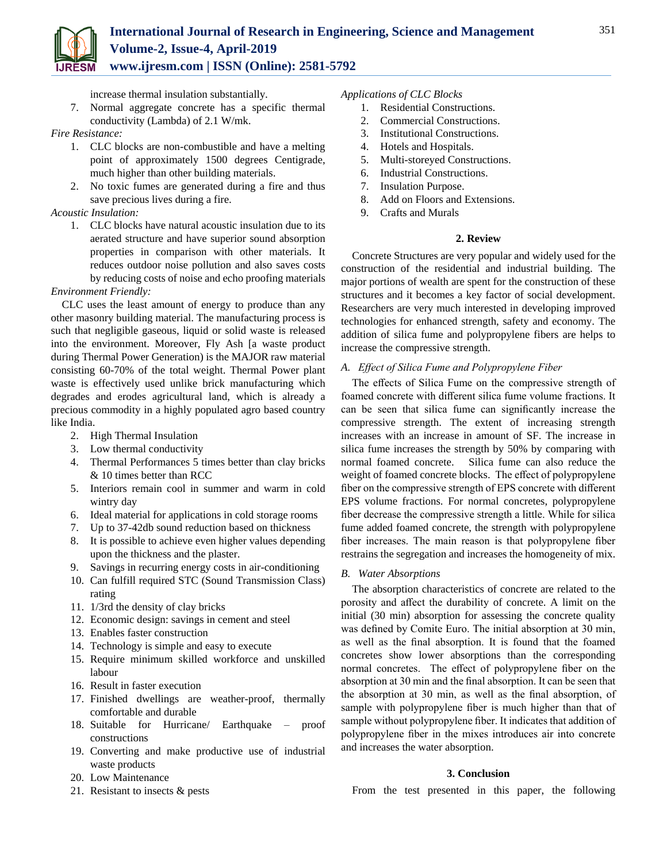

increase thermal insulation substantially.

7. Normal aggregate concrete has a specific thermal conductivity (Lambda) of 2.1 W/mk.

## *Fire Resistance:*

- 1. CLC blocks are non-combustible and have a melting point of approximately 1500 degrees Centigrade, much higher than other building materials.
- 2. No toxic fumes are generated during a fire and thus save precious lives during a fire.

## *Acoustic Insulation:*

1. CLC blocks have natural acoustic insulation due to its aerated structure and have superior sound absorption properties in comparison with other materials. It reduces outdoor noise pollution and also saves costs by reducing costs of noise and echo proofing materials

## *Environment Friendly:*

CLC uses the least amount of energy to produce than any other masonry building material. The manufacturing process is such that negligible gaseous, liquid or solid waste is released into the environment. Moreover, Fly Ash [a waste product during Thermal Power Generation) is the MAJOR raw material consisting 60-70% of the total weight. Thermal Power plant waste is effectively used unlike brick manufacturing which degrades and erodes agricultural land, which is already a precious commodity in a highly populated agro based country like India.

- 2. High Thermal Insulation
- 3. Low thermal conductivity
- 4. Thermal Performances 5 times better than clay bricks & 10 times better than RCC
- 5. Interiors remain cool in summer and warm in cold wintry day
- 6. Ideal material for applications in cold storage rooms
- 7. Up to 37-42db sound reduction based on thickness
- 8. It is possible to achieve even higher values depending upon the thickness and the plaster.
- 9. Savings in recurring energy costs in air-conditioning
- 10. Can fulfill required STC (Sound Transmission Class) rating
- 11. 1/3rd the density of clay bricks
- 12. Economic design: savings in cement and steel
- 13. Enables faster construction
- 14. Technology is simple and easy to execute
- 15. Require minimum skilled workforce and unskilled labour
- 16. Result in faster execution
- 17. Finished dwellings are weather-proof, thermally comfortable and durable
- 18. Suitable for Hurricane/ Earthquake proof constructions
- 19. Converting and make productive use of industrial waste products
- 20. Low Maintenance
- 21. Resistant to insects & pests

## *Applications of CLC Blocks*

- 1. Residential Constructions.
- 2. Commercial Constructions.
- 3. Institutional Constructions.
- 4. Hotels and Hospitals.
- 5. Multi-storeyed Constructions.
- 6. Industrial Constructions.
- 7. Insulation Purpose.
- 8. Add on Floors and Extensions.
- 9. Crafts and Murals

## **2. Review**

Concrete Structures are very popular and widely used for the construction of the residential and industrial building. The major portions of wealth are spent for the construction of these structures and it becomes a key factor of social development. Researchers are very much interested in developing improved technologies for enhanced strength, safety and economy. The addition of silica fume and polypropylene fibers are helps to increase the compressive strength.

## *A. Effect of Silica Fume and Polypropylene Fiber*

The effects of Silica Fume on the compressive strength of foamed concrete with different silica fume volume fractions. It can be seen that silica fume can significantly increase the compressive strength. The extent of increasing strength increases with an increase in amount of SF. The increase in silica fume increases the strength by 50% by comparing with normal foamed concrete. Silica fume can also reduce the weight of foamed concrete blocks. The effect of polypropylene fiber on the compressive strength of EPS concrete with different EPS volume fractions. For normal concretes, polypropylene fiber decrease the compressive strength a little. While for silica fume added foamed concrete, the strength with polypropylene fiber increases. The main reason is that polypropylene fiber restrains the segregation and increases the homogeneity of mix.

#### *B. Water Absorptions*

The absorption characteristics of concrete are related to the porosity and affect the durability of concrete. A limit on the initial (30 min) absorption for assessing the concrete quality was defined by Comite Euro. The initial absorption at 30 min, as well as the final absorption. It is found that the foamed concretes show lower absorptions than the corresponding normal concretes. The effect of polypropylene fiber on the absorption at 30 min and the final absorption. It can be seen that the absorption at 30 min, as well as the final absorption, of sample with polypropylene fiber is much higher than that of sample without polypropylene fiber. It indicates that addition of polypropylene fiber in the mixes introduces air into concrete and increases the water absorption.

## **3. Conclusion**

From the test presented in this paper, the following